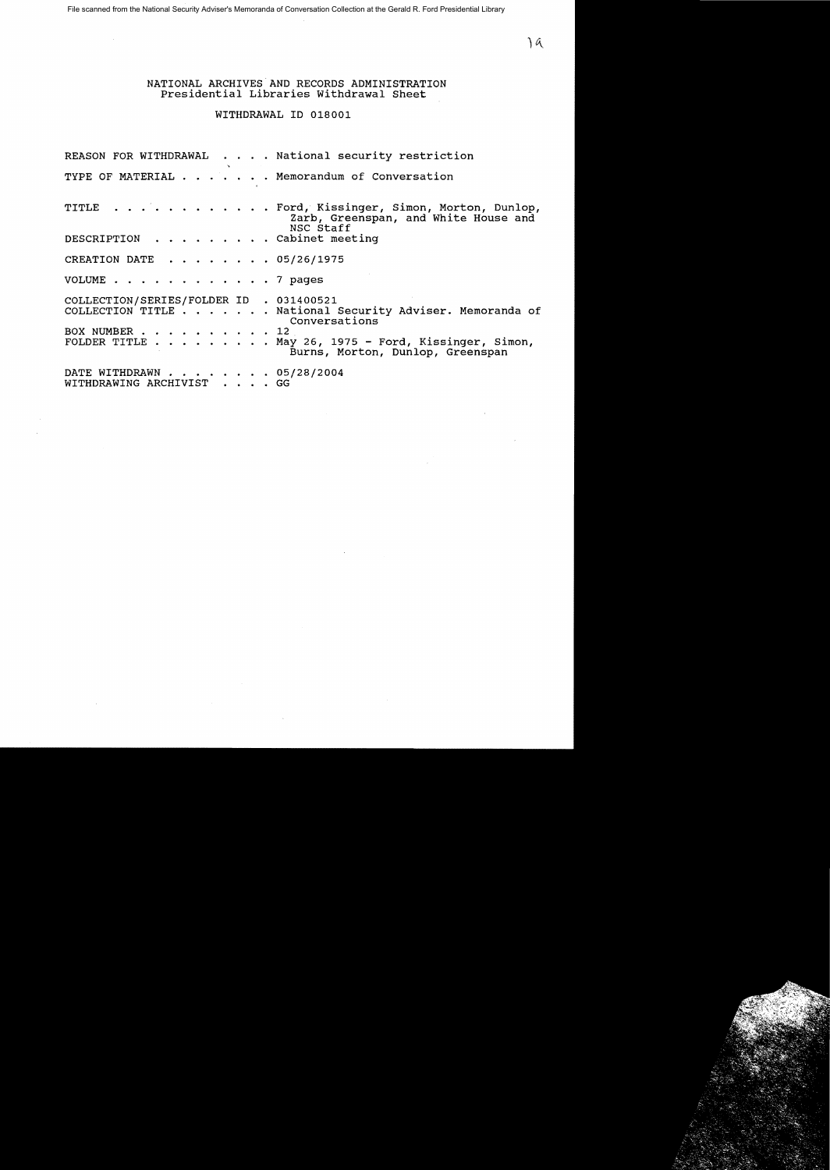File scanned from the National Security Adviser's Memoranda of Conversation Collection at the Gerald R. Ford Presidential Library

 $\lambda$ 

## NATIONAL ARCHIVES AND RECORDS ADMINISTRATION Presidential Libraries Withdrawal Sheet

## WITHDRAWAL ID 018001

REASON FOR WITHDRAWAL . . . . National security restriction TYPE OF MATERIAL . . . . Memorandum of Conversation TITLE . . . . . . . . . . . Ford, Kissinger, Simon, Morton, Dunlop, Zarb, Greenspan, and White House and NSC Staff DESCRIPTION . . . . . . . . Cabinet meeting CREATION DATE  $\cdot \cdot \cdot \cdot \cdot \cdot \cdot 05/26/1975$ VOLUME . . . . . . . . . . . . 7 pages COLLECTION/SERIES/FOLDER ID . 031400521 . National Security Adviser. Memoranda of Conversations<br>12 COLLECTION TITLE . . . . . . .<br>BOX NUMBER . . . . . . . . .<br>FOLDER TITLE . . . . . . . . Conversations<br>BOX NUMBER . . . . . . . . . . 12<br>FOLDER TITLE . . . . . . . . . May 26, 1975 - Ford, Kissinger, Simon,<br>Burns, Morton, Dunlop, Greenspan DATE WITHDRAWN . . . . . . . 05/28/2004 WITHDRAWING ARCHIVIST . . . . GG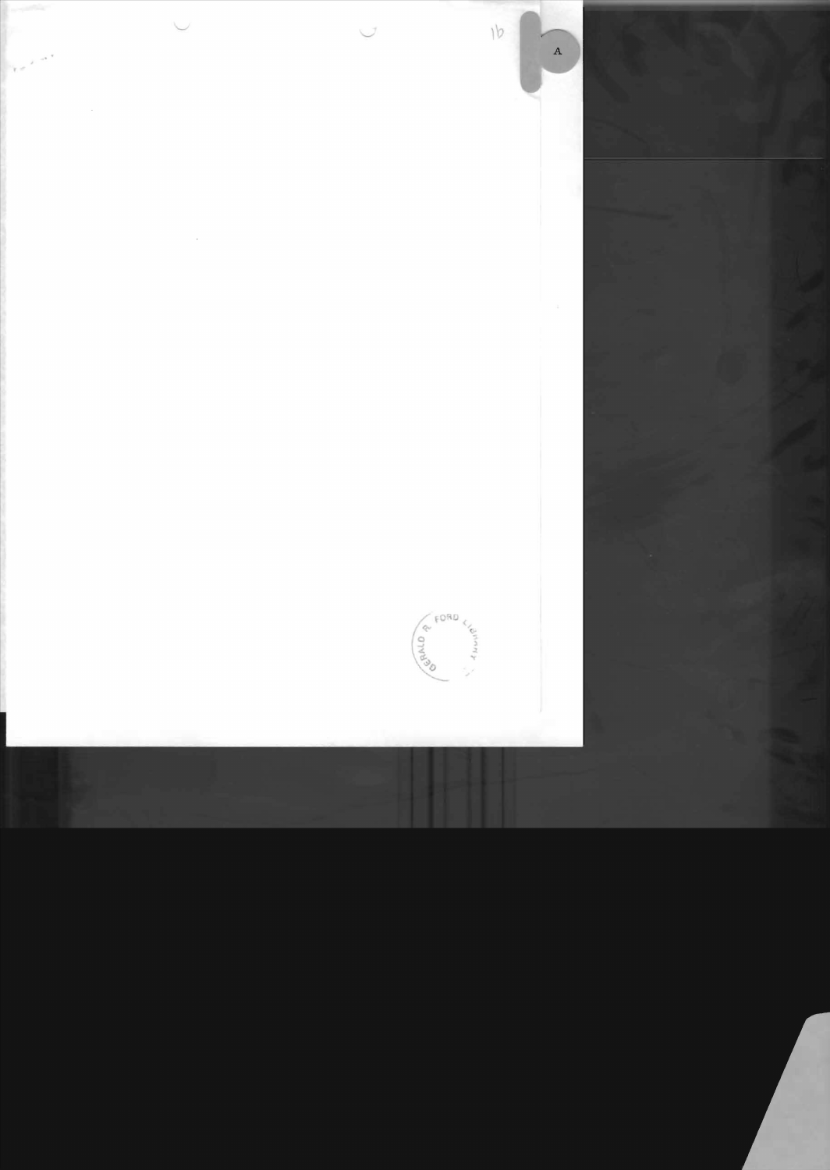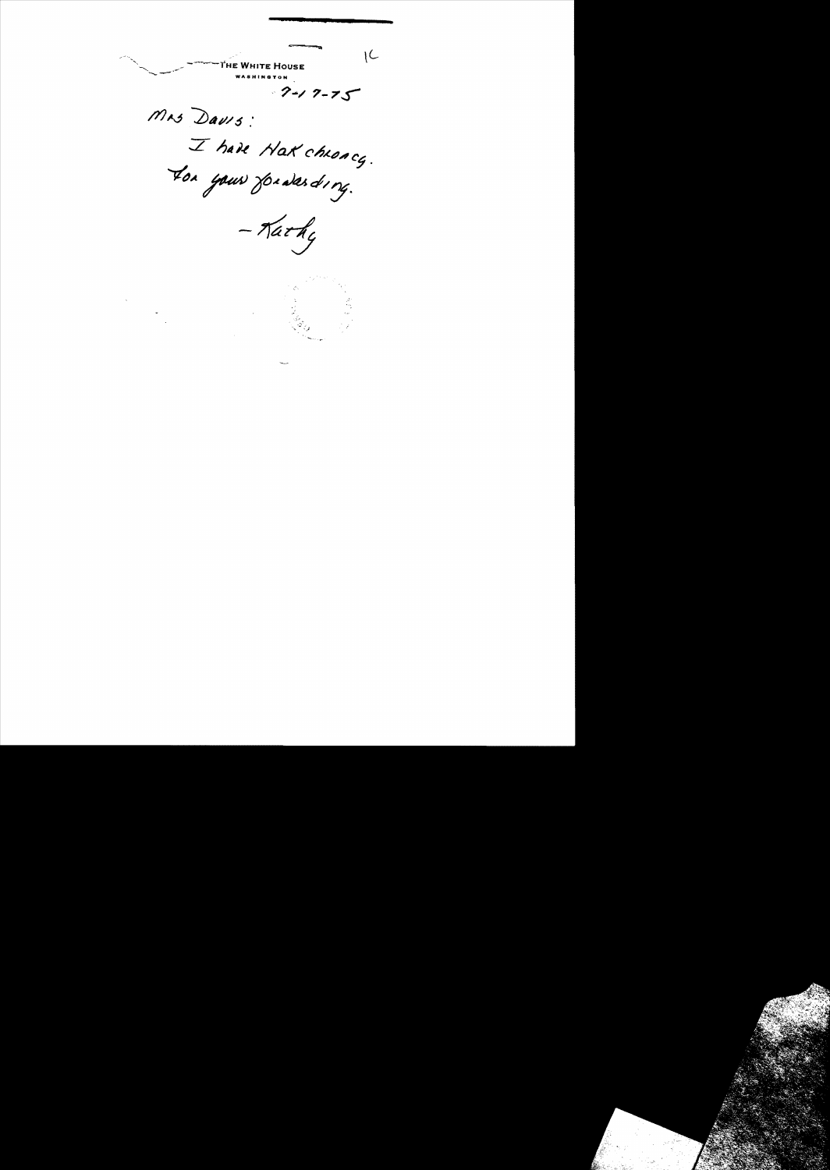$C$ THE WHITE HOUSE **WASHINGTON**  $2 + 7 - 75$ Mas Davis: I have Hak chroncy.<br>You your you was ding. - Karhy  $\bar{\mathcal{A}}$  $\frac{1}{\sqrt{2}}$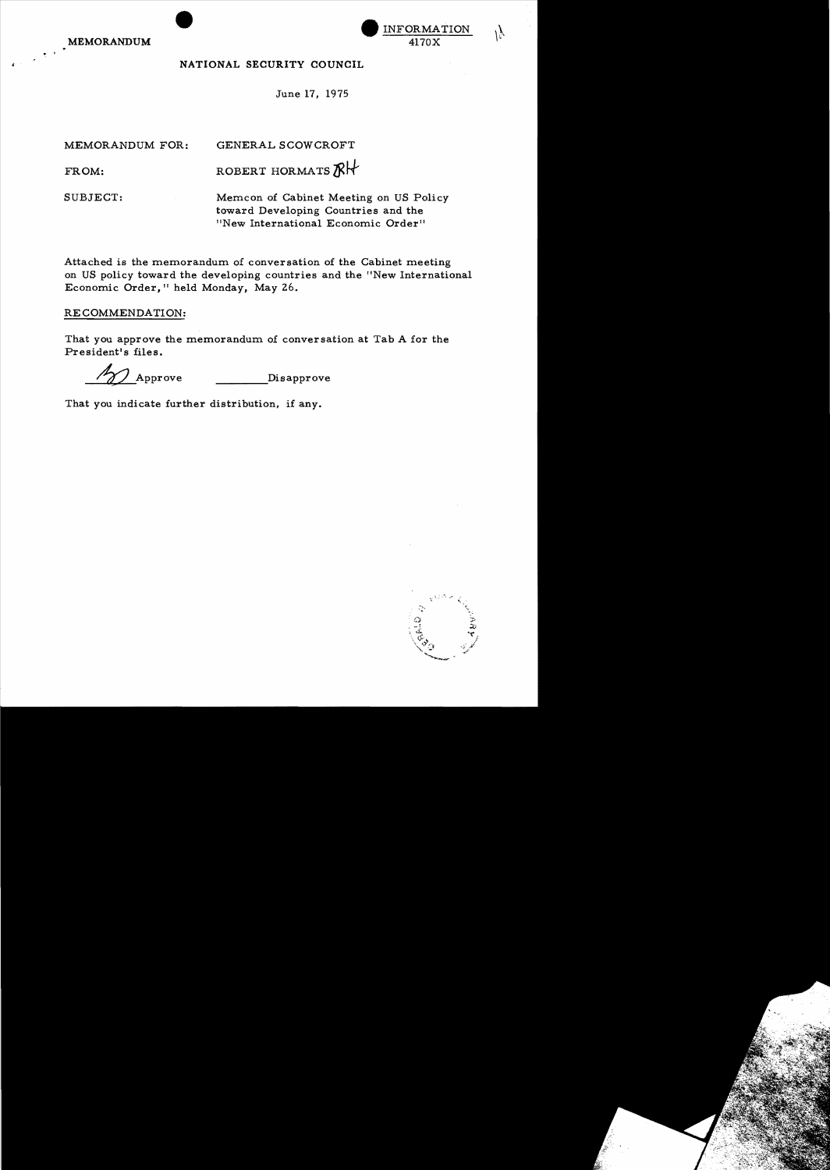MEMORANDUM 4170X

## NATIONAL SECURITY COUNCIL

June 17, 1975

e INFORMATION

MEMORANDUM FOR: GENERAL SCOWCROFT

FROM: ROBERT HORMATS  $\mathcal{R}$ H

SUBJECT: Memcon of Cabinet Meeting on US Policy toward Developing Countries and the "New International Economic Order"

Attached is the memorandum of conversation of the Cabinet meeting on US policy toward the developing countries and the "New International Economic Order, "held Monday, May 26.

## RE COMMENDATION:

That you approve the memorandum of conversation at Tab A for the President's files.

Approve Disapprove

That you indicate further distribution, if any.